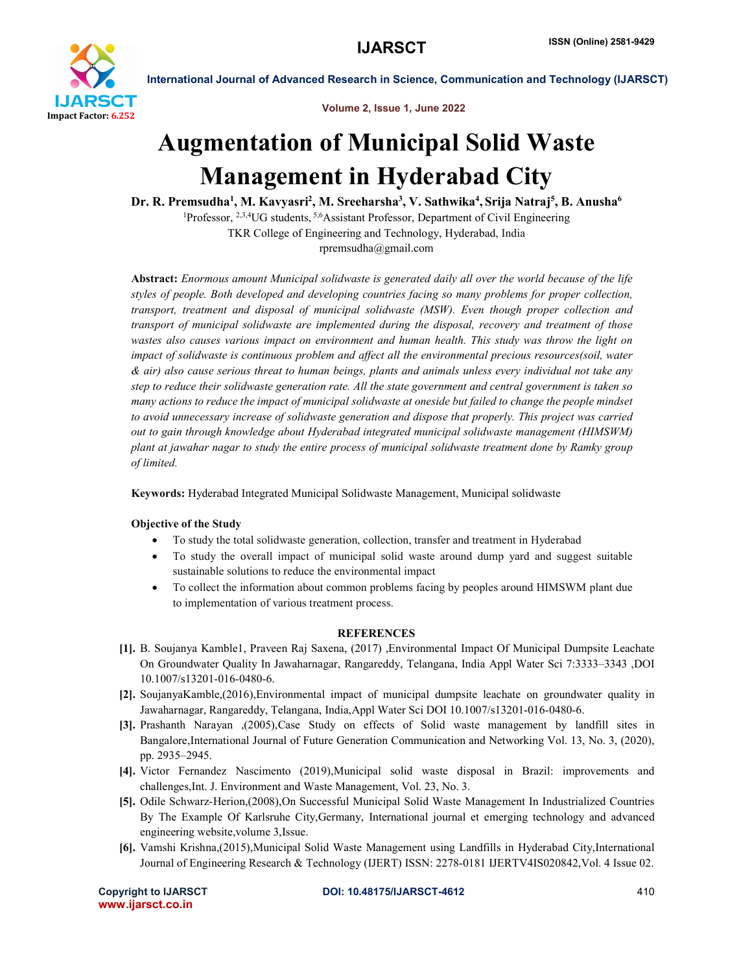

International Journal of Advanced Research in Science, Communication and Technology (IJARSCT)

Volume 2, Issue 1, June 2022

## Augmentation of Municipal Solid Waste Management in Hyderabad City

Dr. R. Premsudha<sup>1</sup>, M. Kavyasri<sup>2</sup>, M. Sreeharsha<sup>3</sup>, V. Sathwika<sup>4</sup>, Srija Natraj<sup>5</sup>, B. Anusha<sup>6</sup>

<sup>1</sup>Professor, <sup>2,3,4</sup>UG students, <sup>5,6</sup>Assistant Professor, Department of Civil Engineering TKR College of Engineering and Technology, Hyderabad, India

rpremsudha@gmail.com

Abstract: *Enormous amount Municipal solidwaste is generated daily all over the world because of the life styles of people. Both developed and developing countries facing so many problems for proper collection, transport, treatment and disposal of municipal solidwaste (MSW). Even though proper collection and transport of municipal solidwaste are implemented during the disposal, recovery and treatment of those wastes also causes various impact on environment and human health. This study was throw the light on impact of solidwaste is continuous problem and affect all the environmental precious resources(soil, water & air) also cause serious threat to human beings, plants and animals unless every individual not take any step to reduce their solidwaste generation rate. All the state government and central government is taken so many actions to reduce the impact of municipal solidwaste at oneside but failed to change the people mindset to avoid unnecessary increase of solidwaste generation and dispose that properly. This project was carried out to gain through knowledge about Hyderabad integrated municipal solidwaste management (HIMSWM) plant at jawahar nagar to study the entire process of municipal solidwaste treatment done by Ramky group of limited.*

Keywords: Hyderabad Integrated Municipal Solidwaste Management, Municipal solidwaste

## Objective of the Study

- To study the total solidwaste generation, collection, transfer and treatment in Hyderabad
- To study the overall impact of municipal solid waste around dump yard and suggest suitable sustainable solutions to reduce the environmental impact
- To collect the information about common problems facing by peoples around HIMSWM plant due to implementation of various treatment process.

## **REFERENCES**

- [1]. B. Soujanya Kamble1, Praveen Raj Saxena, (2017) ,Environmental Impact Of Municipal Dumpsite Leachate On Groundwater Quality In Jawaharnagar, Rangareddy, Telangana, India Appl Water Sci 7:3333–3343 ,DOI 10.1007/s13201-016-0480-6.
- [2]. SoujanyaKamble,(2016),Environmental impact of municipal dumpsite leachate on groundwater quality in Jawaharnagar, Rangareddy, Telangana, India,Appl Water Sci DOI 10.1007/s13201-016-0480-6.
- [3]. Prashanth Narayan ,(2005),Case Study on effects of Solid waste management by landfill sites in Bangalore,International Journal of Future Generation Communication and Networking Vol. 13, No. 3, (2020), pp. 2935–2945.
- [4]. Victor Fernandez Nascimento (2019),Municipal solid waste disposal in Brazil: improvements and challenges,Int. J. Environment and Waste Management, Vol. 23, No. 3.
- [5]. Odile Schwarz-Herion,(2008),On Successful Municipal Solid Waste Management In Industrialized Countries By The Example Of Karlsruhe City,Germany, International journal et emerging technology and advanced engineering website,volume 3,Issue.
- [6]. Vamshi Krishna,(2015),Municipal Solid Waste Management using Landfills in Hyderabad City,International Journal of Engineering Research & Technology (IJERT) ISSN: 2278-0181 IJERTV4IS020842,Vol. 4 Issue 02.

www.ijarsct.co.in